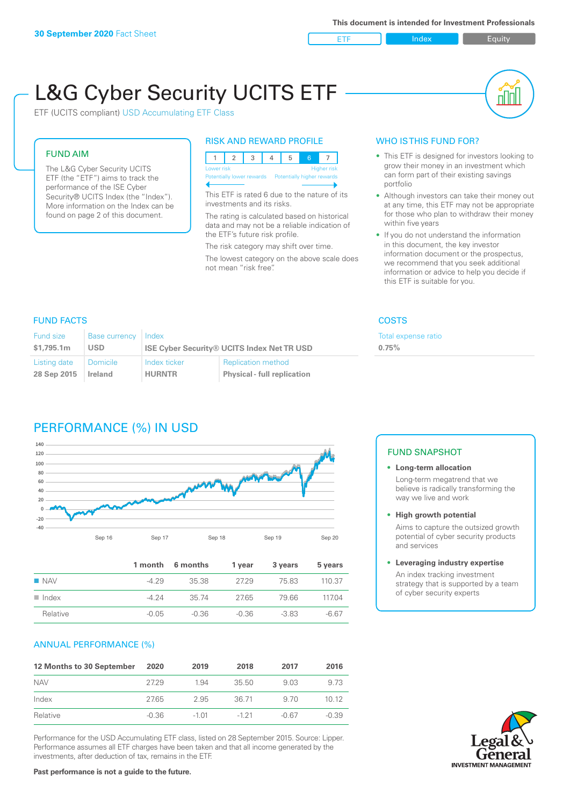ETF Index Buity

ul III

# L&G Cyber Security UCITS ETF

ETF (UCITS compliant) USD Accumulating ETF Class

# FUND AIM

The L&G Cyber Security UCITS ETF (the "ETF") aims to track the performance of the ISE Cyber Security® UCITS Index (the "Index"). More information on the Index can be found on page 2 of this document.

# RISK AND REWARD PROFILE

| Lower risk                                            |  | <b>Higher risk</b> |  |  |
|-------------------------------------------------------|--|--------------------|--|--|
| Potentially lower rewards  Potentially higher rewards |  |                    |  |  |

This ETF is rated 6 due to the nature of its investments and its risks.

The rating is calculated based on historical data and may not be a reliable indication of the ETF's future risk profile.

The risk category may shift over time. The lowest category on the above scale does not mean "risk free".

# WHO IS THIS FUND FOR?

- This ETF is designed for investors looking to grow their money in an investment which can form part of their existing savings portfolio
- Although investors can take their money out at any time, this ETF may not be appropriate for those who plan to withdraw their money within five years
- If you do not understand the information in this document, the key investor information document or the prospectus, we recommend that you seek additional information or advice to help you decide if this ETF is suitable for you.

Total expense ratio

**0.75%**

# FUND FACTS COSTS

| <b>Fund size</b><br>\$1.795.1m | Base currency Index<br><b>USD</b> | <b>ISE Cyber Security® UCITS Index Net TR USD</b> |                                    |
|--------------------------------|-----------------------------------|---------------------------------------------------|------------------------------------|
| Listing date                   | <b>Domicile</b>                   | Index ticker                                      | <b>Replication method</b>          |
| 28 Sep 2015                    | <b>Ireland</b>                    | <b>HURNTR</b>                                     | <b>Physical - full replication</b> |

# PERFORMANCE (%) IN USD



|                      |         | 1 month 6 months | 1 vear  | 3 years | 5 years |
|----------------------|---------|------------------|---------|---------|---------|
| $\blacksquare$ NAV   | $-429$  | 3538             | 27.29   | 75.83   | 110 37  |
| $\blacksquare$ Index | -4 24   | 35 74            | 27.65   | 79.66   | 117.04  |
| Relative             | $-0.05$ | -0.36            | $-0.36$ | $-383$  | $-6.67$ |

# ANNUAL PERFORMANCE (%)

| 12 Months to 30 September | 2020    | 2019    | 2018     | 2017  | 2016    |
|---------------------------|---------|---------|----------|-------|---------|
| <b>NAV</b>                | 27.29   | 1.94    | 35.50    | 9.03  | 9.73    |
| Index                     | 27.65   | 2.95    | 36.71    | 9.70  | 1012    |
| Relative                  | $-0.36$ | $-1.01$ | $-1, 21$ | -0.67 | $-0.39$ |

Performance for the USD Accumulating ETF class, listed on 28 September 2015. Source: Lipper. Performance assumes all ETF charges have been taken and that all income generated by the investments, after deduction of tax, remains in the ETF.

# FUND SNAPSHOT

## **• Long-term allocation** Long-term megatrend that we believe is radically transforming the way we live and work

**• High growth potential**

Aims to capture the outsized growth potential of cyber security products and services

#### **• Leveraging industry expertise**

An index tracking investment strategy that is supported by a team of cyber security experts

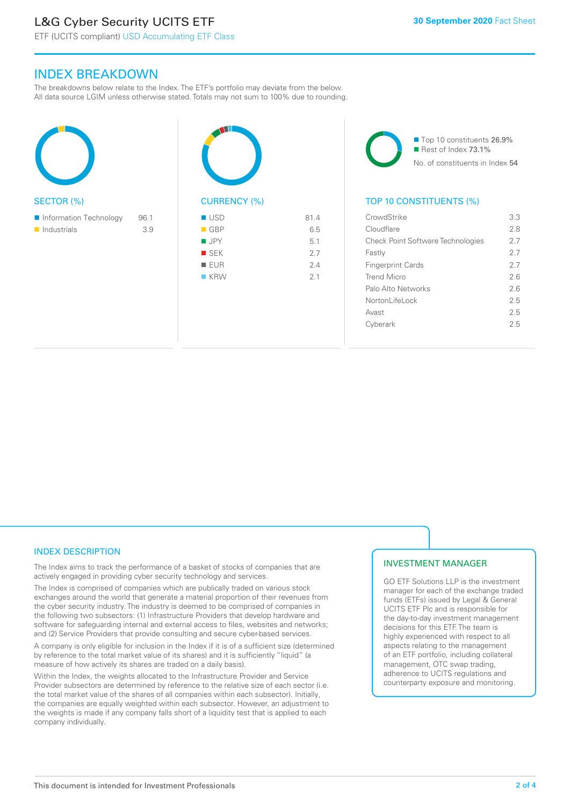# L&G Cyber Security UCITS ETF

ETF (UCITS compliant) USD Accumulating ETF Class

# INDEX BREAKDOWN

The breakdowns below relate to the Index. The ETF's portfolio may deviate from the below. All data source LGIM unless otherwise stated. Totals may not sum to 100% due to rounding.

| <b>SECTOR (%)</b>                     |             | CL                             |
|---------------------------------------|-------------|--------------------------------|
| Information Technology<br>Industrials | 96.1<br>3.9 | - (<br>ΙŚ<br>E<br>$\mathbb{R}$ |





# TOP 10 CONSTITUENTS (%)

| CrowdStrike                              | 3.3 |
|------------------------------------------|-----|
| Cloudflare                               | 2.8 |
| <b>Check Point Software Technologies</b> | 27  |
| Fastly                                   | 27  |
| <b>Fingerprint Cards</b>                 | 27  |
| Trend Micro                              | 26  |
| Palo Alto Networks                       | 26  |
| Nortonl ifel ock                         | 25  |
| Avast                                    | 25  |
| Cyberark                                 | 25  |
|                                          |     |

# INDEX DESCRIPTION

The Index aims to track the performance of a basket of stocks of companies that are actively engaged in providing cyber security technology and services.

The Index is comprised of companies which are publically traded on various stock exchanges around the world that generate a material proportion of their revenues from the cyber security industry. The industry is deemed to be comprised of companies in the following two subsectors: (1) Infrastructure Providers that develop hardware and software for safeguarding internal and external access to files, websites and networks; and (2) Service Providers that provide consulting and secure cyber-based services.

A company is only eligible for inclusion in the Index if it is of a sufficient size (determined by reference to the total market value of its shares) and it is sufficiently "liquid" (a measure of how actively its shares are traded on a daily basis).

Within the Index, the weights allocated to the Infrastructure Provider and Service Provider subsectors are determined by reference to the relative size of each sector (i.e. the total market value of the shares of all companies within each subsector). Initially, the companies are equally weighted within each subsector. However, an adjustment to the weights is made if any company falls short of a liquidity test that is applied to each company individually.

# INVESTMENT MANAGER

GO ETF Solutions LLP is the investment manager for each of the exchange traded funds (ETFs) issued by Legal & General UCITS ETF Plc and is responsible for the day-to-day investment management decisions for this ETF. The team is highly experienced with respect to all aspects relating to the management of an ETF portfolio, including collateral management, OTC swap trading, adherence to UCITS regulations and counterparty exposure and monitoring.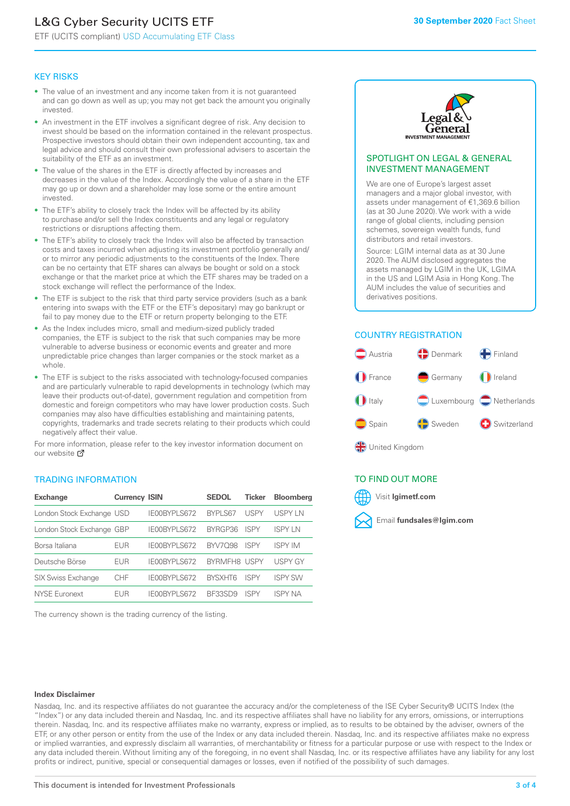# L&G Cyber Security UCITS ETF

ETF (UCITS compliant) USD Accumulating ETF Class

# KEY RISKS

- The value of an investment and any income taken from it is not guaranteed and can go down as well as up; you may not get back the amount you originally invested.
- An investment in the ETF involves a significant degree of risk. Any decision to invest should be based on the information contained in the relevant prospectus. Prospective investors should obtain their own independent accounting, tax and legal advice and should consult their own professional advisers to ascertain the suitability of the ETF as an investment.
- The value of the shares in the ETF is directly affected by increases and decreases in the value of the Index. Accordingly the value of a share in the ETF may go up or down and a shareholder may lose some or the entire amount invested.
- The ETF's ability to closely track the Index will be affected by its ability to purchase and/or sell the Index constituents and any legal or regulatory restrictions or disruptions affecting them.
- The ETF's ability to closely track the Index will also be affected by transaction costs and taxes incurred when adjusting its investment portfolio generally and/ or to mirror any periodic adjustments to the constituents of the Index. There can be no certainty that ETF shares can always be bought or sold on a stock exchange or that the market price at which the ETF shares may be traded on a stock exchange will reflect the performance of the Index.
- The ETF is subject to the risk that third party service providers (such as a bank entering into swaps with the ETF or the ETF's depositary) may go bankrupt or fail to pay money due to the ETF or return property belonging to the ETF.
- As the Index includes micro, small and medium-sized publicly traded companies, the ETF is subject to the risk that such companies may be more vulnerable to adverse business or economic events and greater and more unpredictable price changes than larger companies or the stock market as a whole.
- The ETF is subject to the risks associated with technology-focused companies and are particularly vulnerable to rapid developments in technology (which may leave their products out-of-date), government regulation and competition from domestic and foreign competitors who may have lower production costs. Such companies may also have difficulties establishing and maintaining patents, copyrights, trademarks and trade secrets relating to their products which could negatively affect their value.

For more information, please refer to the key investor information document on our website Ø

# TRADING INFORMATION

| <b>Exchange</b>           | <b>Currency ISIN</b> |                     | <b>SEDOL</b>   | <b>Ticker</b> | <b>Bloomberg</b> |
|---------------------------|----------------------|---------------------|----------------|---------------|------------------|
| London Stock Exchange USD |                      | IE00BYPLS672        | <b>BYPLS67</b> | <b>USPY</b>   | USPY IN          |
| London Stock Exchange GBP |                      | IE00BYPLS672        | BYRGP36        | <b>ISPY</b>   | ISPY I N         |
| Borsa Italiana            | <b>EUR</b>           | IE00BYPLS672        | <b>BYV7098</b> | <b>ISPY</b>   | <b>ISPY IM</b>   |
| Deutsche Börse            | <b>EUR</b>           | <b>IFOORYPLS672</b> | BYRMFH8 USPY   |               | <b>USPY GY</b>   |
| <b>SIX Swiss Exchange</b> | CHF                  | IE00BYPLS672        | <b>RYSXHT6</b> | <b>ISPY</b>   | <b>ISPY SW</b>   |
| <b>NYSE Euronext</b>      | FUR                  | IF00BYPLS672        | <b>BE33SD9</b> | ISPY          | <b>ISPY NA</b>   |

The currency shown is the trading currency of the listing.



# SPOTLIGHT ON LEGAL & GENERAL INVESTMENT MANAGEMENT

We are one of Europe's largest asset managers and a major global investor, with assets under management of €1,369.6 billion (as at 30 June 2020). We work with a wide range of global clients, including pension schemes, sovereign wealth funds, fund distributors and retail investors.

Source: LGIM internal data as at 30 June 2020. The AUM disclosed aggregates the assets managed by LGIM in the UK, LGIMA in the US and LGIM Asia in Hong Kong. The AUM includes the value of securities and derivatives positions.

# COUNTRY REGISTRATION



# TO FIND OUT MORE



#### **Index Disclaimer**

Nasdaq, Inc. and its respective affiliates do not guarantee the accuracy and/or the completeness of the ISE Cyber Security® UCITS Index (the "Index") or any data included therein and Nasdaq, Inc. and its respective affiliates shall have no liability for any errors, omissions, or interruptions therein. Nasdaq, Inc. and its respective affiliates make no warranty, express or implied, as to results to be obtained by the adviser, owners of the ETF, or any other person or entity from the use of the Index or any data included therein. Nasdaq, Inc. and its respective affiliates make no express or implied warranties, and expressly disclaim all warranties, of merchantability or fitness for a particular purpose or use with respect to the Index or any data included therein. Without limiting any of the foregoing, in no event shall Nasdaq, Inc. or its respective affiliates have any liability for any lost profits or indirect, punitive, special or consequential damages or losses, even if notified of the possibility of such damages.